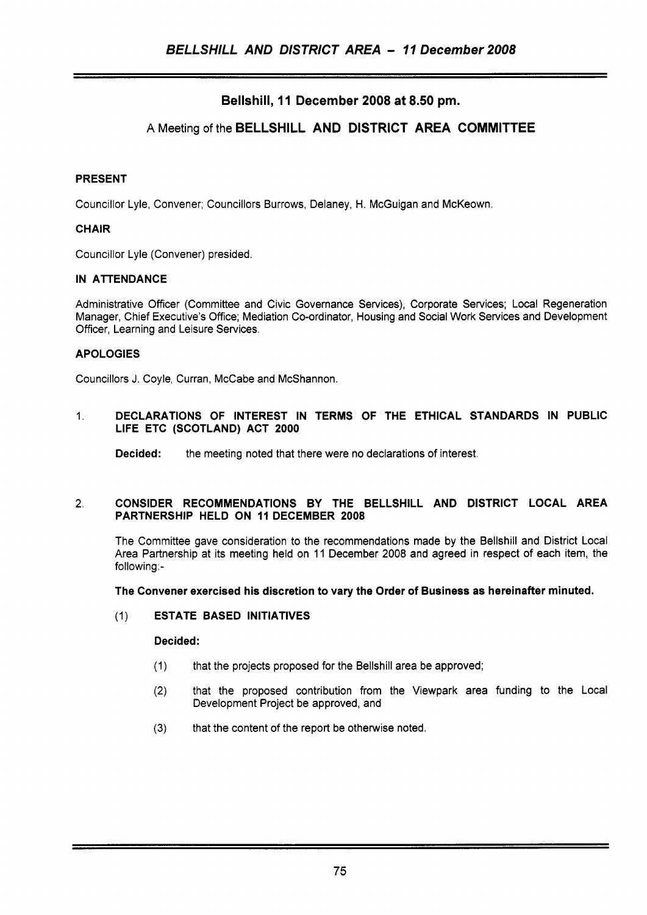# Bellshill, 11 December 2008 at 8.50 pm.

# A Meeting of the BELLSHILL AND DISTRICT AREA COMMITTEE

#### PRESENT

Councillor Lyle, Convener; Councillors Burrows, Delaney, H. McGuigan and McKeown.

### **CHAIR**

Councillor Lyle (Convener) presided.

### IN ATTENDANCE

Administrative Officer (Committee and Civic Governance Services), Corporate Services; Local Regeneration Manager, Chief Executive's Office; Mediation Co-ordinator, Housing and Social Work Services and Development Officer, Learning and Leisure Services.

### APOLOGIES

Councillors J. Coyle, Curran, McCabe and McShannon.

#### 1. DECLARATIONS OF INTEREST IN TERMS **OF** THE ETHICAL STANDARDS IN PUBLIC LIFE ETC (SCOTLAND) ACT 2000

**Decided:** the meeting noted that there were no declarations of interest.

#### 2. CONSIDER RECOMMENDATIONS BY THE BELLSHILL AND DISTRICT LOCAL AREA PARTNERSHIP HELD ON **11** DECEMBER 2008

The Committee gave consideration to the recommendations made by the Bellshill and District Local Area Partnership at its meeting held on 11 December 2008 and agreed in respect of each item, the following:-

#### The Convener exercised his discretion to vary the Order of Business as hereinafter minuted.

### (1) ESTATE BASED INITIATIVES

#### Decided:

- (1) that the projects proposed for the Bellshill area be approved;
- (2) that the proposed contribution from the Viewpark area funding to the Local Development Project be approved, and
- **(3)** that the content of the report be otherwise noted.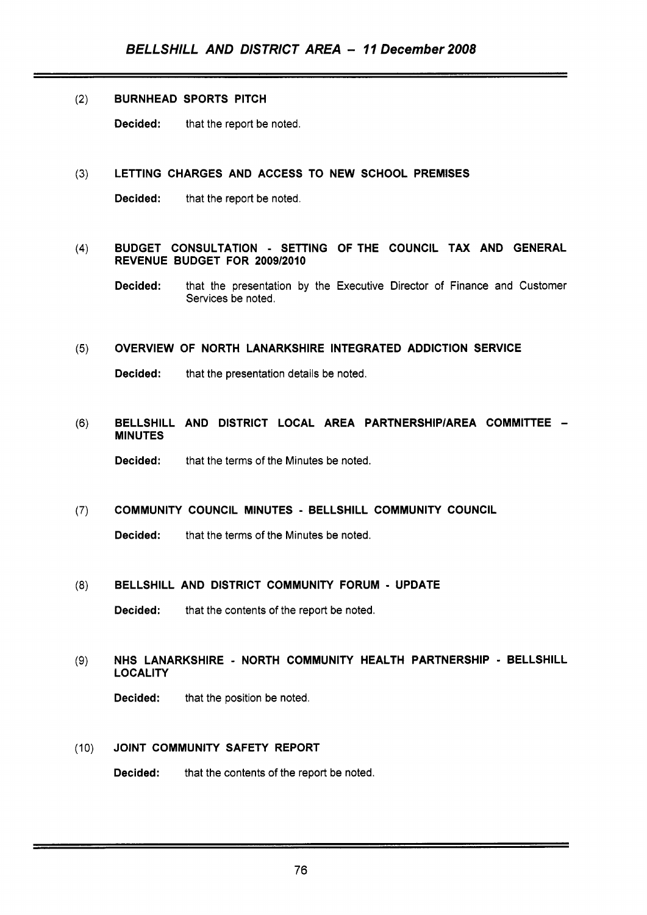### (2) BURNHEAD SPORTS PITCH

Decided: that the report be noted.

#### **(3)** LETTING CHARGES AND ACCESS TO NEW SCHOOL PREMISES

Decided: that the report be noted.

### (4) BUDGET CONSULTATION - SETTING OFTHE COUNCIL TAX AND GENERAL REVENUE BUDGET FOR 200912010

Decided: that the presentation by the Executive Director of Finance and Customer Services be noted.

#### **(5)** OVERVIEW OF NORTH LANARKSHIRE INTEGRATED ADDICTION SERVICE

Decided: that the presentation details be noted.

# (6) BELLSHILL AND DISTRICT LOCAL AREA PARTNERSHIP/AREA COMMITTEE -**MINUTES**

Decided: that the terms of the Minutes be noted.

#### (7) COMMUNITY COUNCIL MINUTES - BELLSHILL COMMUNITY COUNCIL

Decided: that the terms of the Minutes be noted.

#### **(8)** BELLSHILL AND DISTRICT COMMUNITY FORUM - UPDATE

**Decided:** that the contents of the report be noted.

# **(9)** NHS LANARKSHIRE - NORTH COMMUNITY HEALTH PARTNERSHIP - BELLSHILL **LOCALITY**

Decided: that the position be noted.

### (10) JOINT COMMUNITY SAFETY REPORT

Decided: that the contents of the report be noted.